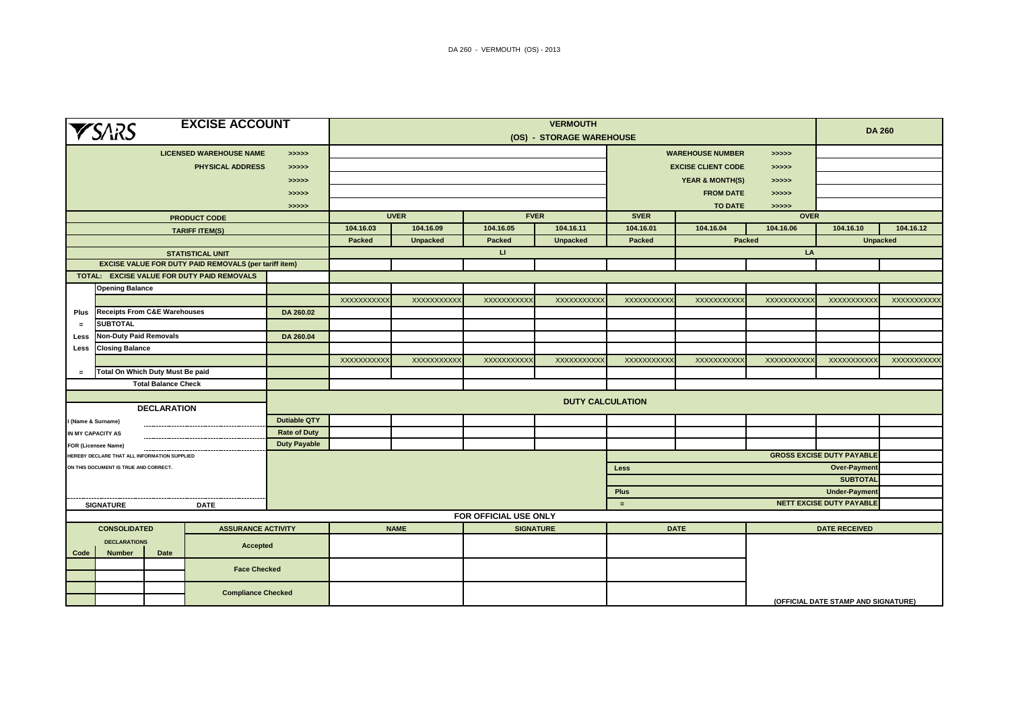| <b>EXCISE ACCOUNT</b><br><b>YSARS</b>                                   |                                              |                            |                                                              |                     | <b>VERMOUTH</b><br>(OS) - STORAGE WAREHOUSE                                |             |                   |                         |                                  |             |                                     |                                                         | <b>DA 260</b> |  |
|-------------------------------------------------------------------------|----------------------------------------------|----------------------------|--------------------------------------------------------------|---------------------|----------------------------------------------------------------------------|-------------|-------------------|-------------------------|----------------------------------|-------------|-------------------------------------|---------------------------------------------------------|---------------|--|
|                                                                         |                                              |                            | <b>LICENSED WAREHOUSE NAME</b>                               | > >> > >            | <b>WAREHOUSE NUMBER</b><br>> >> > >                                        |             |                   |                         |                                  |             |                                     |                                                         |               |  |
|                                                                         |                                              |                            | <b>PHYSICAL ADDRESS</b>                                      | > >> > >            | <b>EXCISE CLIENT CODE</b><br>> >> > >                                      |             |                   |                         |                                  |             |                                     |                                                         |               |  |
|                                                                         |                                              |                            |                                                              | > >> > >            | <b>YEAR &amp; MONTH(S)</b><br>> >> > >                                     |             |                   |                         |                                  |             |                                     |                                                         |               |  |
|                                                                         |                                              |                            |                                                              | > >> > >            | <b>FROM DATE</b><br>> >> > >                                               |             |                   |                         |                                  |             |                                     |                                                         |               |  |
|                                                                         |                                              |                            |                                                              | >>>>>               | <b>TO DATE</b><br>>>>>>                                                    |             |                   |                         |                                  |             |                                     |                                                         |               |  |
|                                                                         |                                              |                            | <b>PRODUCT CODE</b>                                          |                     |                                                                            | <b>UVER</b> | <b>FVER</b>       |                         | <b>SVER</b>                      | <b>OVER</b> |                                     |                                                         |               |  |
|                                                                         |                                              |                            | <b>TARIFF ITEM(S)</b>                                        |                     | 104.16.03                                                                  | 104.16.09   | 104.16.05         | 104.16.11               | 104.16.01                        | 104.16.04   | 104.16.06                           | 104.16.10                                               | 104.16.12     |  |
|                                                                         |                                              |                            |                                                              |                     | Packed<br><b>Unpacked</b><br>Packed<br><b>Unpacked</b><br>Packed<br>Packed |             |                   | <b>Unpacked</b>         |                                  |             |                                     |                                                         |               |  |
|                                                                         |                                              |                            | <b>STATISTICAL UNIT</b>                                      |                     |                                                                            |             | $\mathbf{H}$      |                         |                                  |             | LA                                  |                                                         |               |  |
|                                                                         |                                              |                            | <b>EXCISE VALUE FOR DUTY PAID REMOVALS (per tariff item)</b> |                     |                                                                            |             |                   |                         |                                  |             |                                     |                                                         |               |  |
|                                                                         |                                              |                            | TOTAL: EXCISE VALUE FOR DUTY PAID REMOVALS                   |                     |                                                                            |             |                   |                         |                                  |             |                                     |                                                         |               |  |
|                                                                         | <b>Opening Balance</b>                       |                            |                                                              |                     |                                                                            |             |                   |                         |                                  |             |                                     |                                                         |               |  |
|                                                                         |                                              |                            |                                                              |                     | XXXXXXXXXX                                                                 | XXXXXXXXXXX | XXXXXXXXXXX       | XXXXXXXXXX              | XXXXXXXXXXX                      | XXXXXXXXXX  | XXXXXXXXXXX                         | <b>XXXXXXXXXXX</b>                                      | XXXXXXXXXXX   |  |
| Plus                                                                    | <b>Receipts From C&amp;E Warehouses</b>      |                            |                                                              | DA 260.02           |                                                                            |             |                   |                         |                                  |             |                                     |                                                         |               |  |
| $=$                                                                     | <b>SUBTOTAL</b>                              |                            |                                                              |                     |                                                                            |             |                   |                         |                                  |             |                                     |                                                         |               |  |
| Less                                                                    | <b>Non-Duty Paid Removals</b><br>DA 260.04   |                            |                                                              |                     |                                                                            |             |                   |                         |                                  |             |                                     |                                                         |               |  |
| Less                                                                    | <b>Closing Balance</b>                       |                            |                                                              | <b>XXXXXXXXXXX</b>  | <b>XXXXXXXXXXX</b>                                                         | XXXXXXXXXX  | <b>XXXXXXXXXX</b> | XXXXXXXXXX              | XXXXXXXXXX                       | XXXXXXXXXX  | <b>XXXXXXXXXX</b>                   | XXXXXXXXXX                                              |               |  |
| $\equiv$                                                                | Total On Which Duty Must Be paid             |                            |                                                              |                     |                                                                            |             |                   |                         |                                  |             |                                     |                                                         |               |  |
|                                                                         |                                              | <b>Total Balance Check</b> |                                                              |                     |                                                                            |             |                   |                         |                                  |             |                                     |                                                         |               |  |
|                                                                         |                                              |                            |                                                              |                     |                                                                            |             |                   |                         |                                  |             |                                     |                                                         |               |  |
|                                                                         |                                              | <b>DECLARATION</b>         |                                                              |                     |                                                                            |             |                   | <b>DUTY CALCULATION</b> |                                  |             |                                     |                                                         |               |  |
|                                                                         | I (Name & Surname)                           |                            |                                                              | <b>Dutiable QTY</b> |                                                                            |             |                   |                         |                                  |             |                                     |                                                         |               |  |
|                                                                         | IN MY CAPACITY AS                            |                            |                                                              | <b>Rate of Duty</b> |                                                                            |             |                   |                         |                                  |             |                                     |                                                         |               |  |
|                                                                         | <b>FOR (Licensee Name)</b>                   |                            |                                                              | <b>Duty Payable</b> |                                                                            |             |                   |                         |                                  |             |                                     |                                                         |               |  |
|                                                                         | HEREBY DECLARE THAT ALL INFORMATION SUPPLIED |                            |                                                              |                     |                                                                            |             |                   |                         | <b>GROSS EXCISE DUTY PAYABLE</b> |             |                                     |                                                         |               |  |
|                                                                         | ON THIS DOCUMENT IS TRUE AND CORRECT.        |                            |                                                              |                     | Less                                                                       |             |                   |                         |                                  |             |                                     | <b>Over-Payment</b><br><b>SUBTOTAL</b>                  |               |  |
|                                                                         |                                              |                            |                                                              |                     |                                                                            |             |                   |                         |                                  |             |                                     |                                                         |               |  |
|                                                                         |                                              |                            |                                                              |                     | <b>Plus</b>                                                                |             |                   |                         |                                  |             |                                     | <b>Under-Payment</b><br><b>NETT EXCISE DUTY PAYABLE</b> |               |  |
|                                                                         | <b>SIGNATURE</b>                             |                            | <b>DATE</b>                                                  |                     | $\equiv$<br>FOR OFFICIAL USE ONLY                                          |             |                   |                         |                                  |             |                                     |                                                         |               |  |
|                                                                         |                                              |                            |                                                              |                     | <b>NAME</b><br><b>SIGNATURE</b>                                            |             |                   |                         |                                  | <b>DATE</b> | <b>DATE RECEIVED</b>                |                                                         |               |  |
| <b>CONSOLIDATED</b><br><b>ASSURANCE ACTIVITY</b>                        |                                              |                            |                                                              |                     |                                                                            |             |                   |                         |                                  |             |                                     |                                                         |               |  |
| <b>DECLARATIONS</b><br><b>Accepted</b><br>Date<br>Code<br><b>Number</b> |                                              |                            |                                                              |                     |                                                                            |             |                   |                         |                                  |             |                                     |                                                         |               |  |
|                                                                         |                                              |                            |                                                              |                     |                                                                            |             |                   |                         |                                  |             |                                     |                                                         |               |  |
|                                                                         |                                              | <b>Face Checked</b>        |                                                              |                     |                                                                            |             |                   |                         |                                  |             |                                     |                                                         |               |  |
| <b>Compliance Checked</b>                                               |                                              |                            |                                                              |                     |                                                                            |             |                   |                         |                                  |             |                                     |                                                         |               |  |
|                                                                         |                                              |                            |                                                              |                     |                                                                            |             |                   |                         |                                  |             | (OFFICIAL DATE STAMP AND SIGNATURE) |                                                         |               |  |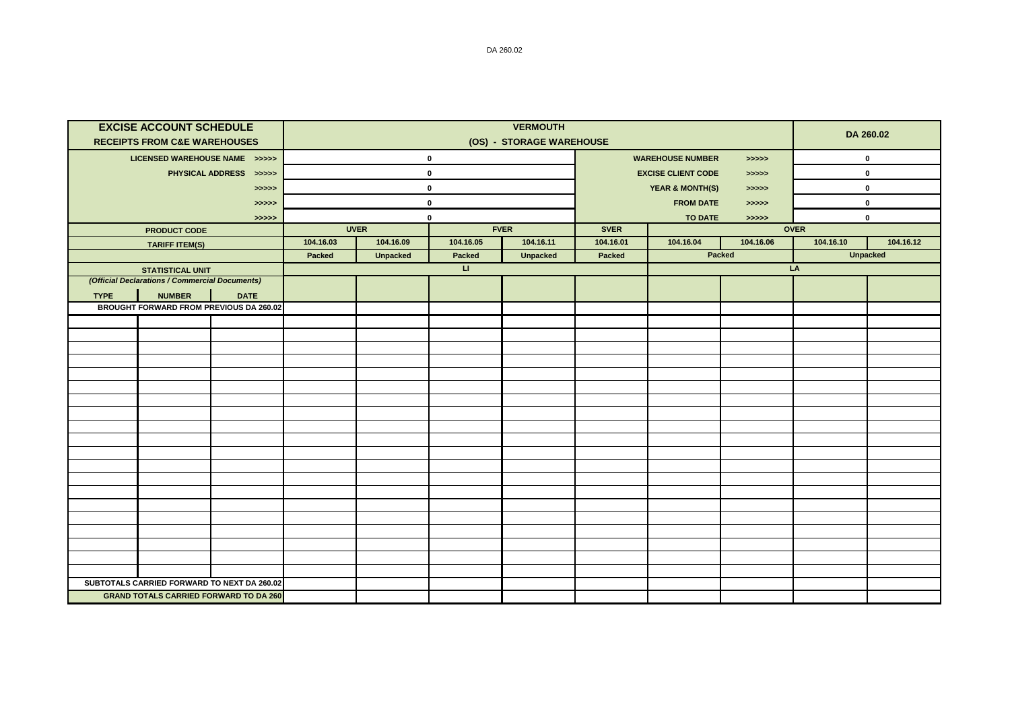|             | <b>EXCISE ACCOUNT SCHEDULE</b><br><b>RECEIPTS FROM C&amp;E WAREHOUSES</b> |                                               | <b>VERMOUTH</b><br>(OS) - STORAGE WAREHOUSE |                 |                        |                 |                                       |                                     |           |             | DA 260.02   |  |
|-------------|---------------------------------------------------------------------------|-----------------------------------------------|---------------------------------------------|-----------------|------------------------|-----------------|---------------------------------------|-------------------------------------|-----------|-------------|-------------|--|
|             | LICENSED WAREHOUSE NAME >>>>>                                             |                                               |                                             |                 | $\mathbf 0$            |                 | <b>WAREHOUSE NUMBER</b><br>>>>>>      |                                     |           | $\pmb{0}$   |             |  |
|             |                                                                           | PHYSICAL ADDRESS >>>>>                        |                                             |                 | $\mathbf 0$            |                 | <b>EXCISE CLIENT CODE</b><br>> >> > > |                                     |           | $\pmb{0}$   |             |  |
|             |                                                                           | >>>>>                                         |                                             | $\mathbf 0$     |                        |                 |                                       | <b>YEAR &amp; MONTH(S)</b><br>>>>>> |           |             | $\pmb{0}$   |  |
|             |                                                                           | >>>>>                                         |                                             | $\mathbf 0$     |                        |                 |                                       | <b>FROM DATE</b><br>> >> > >        |           |             | $\mathbf 0$ |  |
|             |                                                                           | >>>>>                                         |                                             | $\mathbf 0$     |                        |                 | <b>TO DATE</b><br>>>>>>               |                                     |           | $\mathbf 0$ |             |  |
|             | <b>PRODUCT CODE</b>                                                       |                                               |                                             | <b>UVER</b>     |                        | <b>FVER</b>     |                                       |                                     |           | <b>OVER</b> |             |  |
|             | <b>TARIFF ITEM(S)</b>                                                     |                                               | 104.16.03                                   | 104.16.09       | 104.16.05              | 104.16.11       | 104.16.01                             | 104.16.04                           | 104.16.06 | 104.16.10   | 104.16.12   |  |
|             |                                                                           |                                               | Packed                                      | <b>Unpacked</b> | Packed                 | <b>Unpacked</b> | Packed                                |                                     | Packed    | Unpacked    |             |  |
|             | <b>STATISTICAL UNIT</b>                                                   |                                               |                                             |                 | $\mathbf{L}\mathbf{L}$ |                 |                                       |                                     |           | LA          |             |  |
|             | (Official Declarations / Commercial Documents)                            |                                               |                                             |                 |                        |                 |                                       |                                     |           |             |             |  |
| <b>TYPE</b> | <b>NUMBER</b><br>BROUGHT FORWARD FROM PREVIOUS DA 260.02                  | <b>DATE</b>                                   |                                             |                 |                        |                 |                                       |                                     |           |             |             |  |
|             |                                                                           |                                               |                                             |                 |                        |                 |                                       |                                     |           |             |             |  |
|             |                                                                           |                                               |                                             |                 |                        |                 |                                       |                                     |           |             |             |  |
|             |                                                                           |                                               |                                             |                 |                        |                 |                                       |                                     |           |             |             |  |
|             |                                                                           |                                               |                                             |                 |                        |                 |                                       |                                     |           |             |             |  |
|             |                                                                           |                                               |                                             |                 |                        |                 |                                       |                                     |           |             |             |  |
|             |                                                                           |                                               |                                             |                 |                        |                 |                                       |                                     |           |             |             |  |
|             |                                                                           |                                               |                                             |                 |                        |                 |                                       |                                     |           |             |             |  |
|             |                                                                           |                                               |                                             |                 |                        |                 |                                       |                                     |           |             |             |  |
|             |                                                                           |                                               |                                             |                 |                        |                 |                                       |                                     |           |             |             |  |
|             |                                                                           |                                               |                                             |                 |                        |                 |                                       |                                     |           |             |             |  |
|             |                                                                           |                                               |                                             |                 |                        |                 |                                       |                                     |           |             |             |  |
|             |                                                                           |                                               |                                             |                 |                        |                 |                                       |                                     |           |             |             |  |
|             |                                                                           |                                               |                                             |                 |                        |                 |                                       |                                     |           |             |             |  |
|             |                                                                           |                                               |                                             |                 |                        |                 |                                       |                                     |           |             |             |  |
|             |                                                                           |                                               |                                             |                 |                        |                 |                                       |                                     |           |             |             |  |
|             |                                                                           |                                               |                                             |                 |                        |                 |                                       |                                     |           |             |             |  |
|             |                                                                           |                                               |                                             |                 |                        |                 |                                       |                                     |           |             |             |  |
|             |                                                                           |                                               |                                             |                 |                        |                 |                                       |                                     |           |             |             |  |
|             |                                                                           |                                               |                                             |                 |                        |                 |                                       |                                     |           |             |             |  |
|             | SUBTOTALS CARRIED FORWARD TO NEXT DA 260.02                               |                                               |                                             |                 |                        |                 |                                       |                                     |           |             |             |  |
|             |                                                                           | <b>GRAND TOTALS CARRIED FORWARD TO DA 260</b> |                                             |                 |                        |                 |                                       |                                     |           |             |             |  |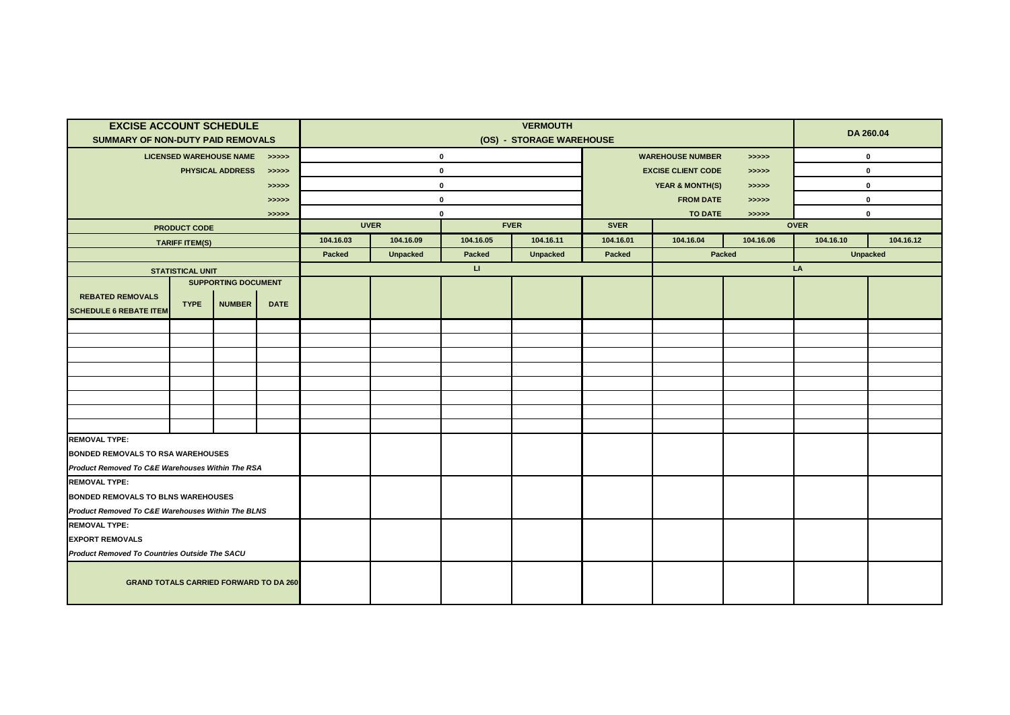| <b>EXCISE ACCOUNT SCHEDULE</b>                    |                         |                               |             | <b>VERMOUTH</b>            |                 |           |                                    |                                     |           |             | DA 260.04       |           |
|---------------------------------------------------|-------------------------|-------------------------------|-------------|----------------------------|-----------------|-----------|------------------------------------|-------------------------------------|-----------|-------------|-----------------|-----------|
| <b>SUMMARY OF NON-DUTY PAID REMOVALS</b>          |                         |                               |             | (OS) - STORAGE WAREHOUSE   |                 |           |                                    |                                     |           |             |                 |           |
|                                                   |                         | LICENSED WAREHOUSE NAME >>>>> |             | $\mathbf 0$                |                 |           |                                    | <b>WAREHOUSE NUMBER</b><br>>>>>>    |           |             | $\pmb{0}$       |           |
|                                                   | PHYSICAL ADDRESS        | >>>>>                         | $\mathbf 0$ |                            |                 |           | <b>EXCISE CLIENT CODE</b><br>>>>>> |                                     |           | $\mathbf 0$ |                 |           |
|                                                   |                         |                               | >>>>>       | $\mathbf 0$                |                 |           |                                    | <b>YEAR &amp; MONTH(S)</b><br>>>>>> |           |             | 0               |           |
|                                                   |                         |                               | > >> > >    | $\mathbf 0$                |                 |           |                                    | <b>FROM DATE</b><br>> >> > >        |           |             | $\mathbf 0$     |           |
|                                                   |                         |                               | > >> > >    | 0                          |                 |           |                                    | <b>TO DATE</b><br>>>>>>             |           |             | $\mathbf 0$     |           |
|                                                   | <b>PRODUCT CODE</b>     |                               |             | <b>UVER</b><br><b>FVER</b> |                 |           | <b>SVER</b>                        | <b>OVER</b>                         |           |             |                 |           |
|                                                   | <b>TARIFF ITEM(S)</b>   |                               |             | 104.16.03                  | 104.16.09       | 104.16.05 | 104.16.11                          | 104.16.01                           | 104.16.04 | 104.16.06   | 104.16.10       | 104.16.12 |
|                                                   |                         |                               |             | Packed                     | <b>Unpacked</b> | Packed    | <b>Unpacked</b>                    | Packed                              | Packed    |             | <b>Unpacked</b> |           |
|                                                   | <b>STATISTICAL UNIT</b> |                               |             |                            |                 | П.        |                                    |                                     |           |             | LA              |           |
|                                                   |                         | <b>SUPPORTING DOCUMENT</b>    |             |                            |                 |           |                                    |                                     |           |             |                 |           |
| <b>REBATED REMOVALS</b>                           | <b>TYPE</b>             | <b>NUMBER</b>                 | <b>DATE</b> |                            |                 |           |                                    |                                     |           |             |                 |           |
| <b>SCHEDULE 6 REBATE ITEM</b>                     |                         |                               |             |                            |                 |           |                                    |                                     |           |             |                 |           |
|                                                   |                         |                               |             |                            |                 |           |                                    |                                     |           |             |                 |           |
|                                                   |                         |                               |             |                            |                 |           |                                    |                                     |           |             |                 |           |
|                                                   |                         |                               |             |                            |                 |           |                                    |                                     |           |             |                 |           |
|                                                   |                         |                               |             |                            |                 |           |                                    |                                     |           |             |                 |           |
|                                                   |                         |                               |             |                            |                 |           |                                    |                                     |           |             |                 |           |
|                                                   |                         |                               |             |                            |                 |           |                                    |                                     |           |             |                 |           |
|                                                   |                         |                               |             |                            |                 |           |                                    |                                     |           |             |                 |           |
|                                                   |                         |                               |             |                            |                 |           |                                    |                                     |           |             |                 |           |
| <b>REMOVAL TYPE:</b>                              |                         |                               |             |                            |                 |           |                                    |                                     |           |             |                 |           |
| BONDED REMOVALS TO RSA WAREHOUSES                 |                         |                               |             |                            |                 |           |                                    |                                     |           |             |                 |           |
| Product Removed To C&E Warehouses Within The RSA  |                         |                               |             |                            |                 |           |                                    |                                     |           |             |                 |           |
| <b>REMOVAL TYPE:</b>                              |                         |                               |             |                            |                 |           |                                    |                                     |           |             |                 |           |
| <b>BONDED REMOVALS TO BLNS WAREHOUSES</b>         |                         |                               |             |                            |                 |           |                                    |                                     |           |             |                 |           |
| Product Removed To C&E Warehouses Within The BLNS |                         |                               |             |                            |                 |           |                                    |                                     |           |             |                 |           |
| <b>REMOVAL TYPE:</b>                              |                         |                               |             |                            |                 |           |                                    |                                     |           |             |                 |           |
| <b>EXPORT REMOVALS</b>                            |                         |                               |             |                            |                 |           |                                    |                                     |           |             |                 |           |
| Product Removed To Countries Outside The SACU     |                         |                               |             |                            |                 |           |                                    |                                     |           |             |                 |           |
| <b>GRAND TOTALS CARRIED FORWARD TO DA 260</b>     |                         |                               |             |                            |                 |           |                                    |                                     |           |             |                 |           |